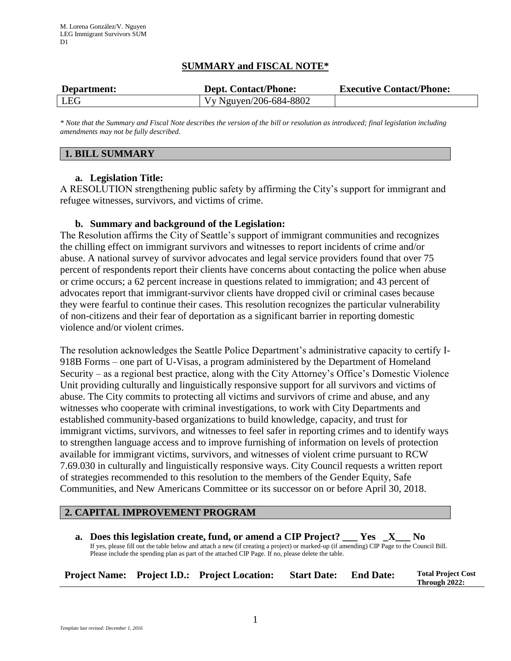# **SUMMARY and FISCAL NOTE\***

| Department: | <b>Dept. Contact/Phone:</b> | <b>Executive Contact/Phone:</b> |
|-------------|-----------------------------|---------------------------------|
| LEG         | Vy Nguyen/206-684-8802      |                                 |

*\* Note that the Summary and Fiscal Note describes the version of the bill or resolution as introduced; final legislation including amendments may not be fully described.*

### **1. BILL SUMMARY**

### **a. Legislation Title:**

A RESOLUTION strengthening public safety by affirming the City's support for immigrant and refugee witnesses, survivors, and victims of crime.

### **b. Summary and background of the Legislation:**

The Resolution affirms the City of Seattle's support of immigrant communities and recognizes the chilling effect on immigrant survivors and witnesses to report incidents of crime and/or abuse. A national survey of survivor advocates and legal service providers found that over 75 percent of respondents report their clients have concerns about contacting the police when abuse or crime occurs; a 62 percent increase in questions related to immigration; and 43 percent of advocates report that immigrant-survivor clients have dropped civil or criminal cases because they were fearful to continue their cases. This resolution recognizes the particular vulnerability of non-citizens and their fear of deportation as a significant barrier in reporting domestic violence and/or violent crimes.

The resolution acknowledges the Seattle Police Department's administrative capacity to certify I-918B Forms – one part of U-Visas, a program administered by the Department of Homeland Security – as a regional best practice, along with the City Attorney's Office's Domestic Violence Unit providing culturally and linguistically responsive support for all survivors and victims of abuse. The City commits to protecting all victims and survivors of crime and abuse, and any witnesses who cooperate with criminal investigations, to work with City Departments and established community-based organizations to build knowledge, capacity, and trust for immigrant victims, survivors, and witnesses to feel safer in reporting crimes and to identify ways to strengthen language access and to improve furnishing of information on levels of protection available for immigrant victims, survivors, and witnesses of violent crime pursuant to RCW 7.69.030 in culturally and linguistically responsive ways. City Council requests a written report of strategies recommended to this resolution to the members of the Gender Equity, Safe Communities, and New Americans Committee or its successor on or before April 30, 2018.

# **2. CAPITAL IMPROVEMENT PROGRAM**

**a. Does this legislation create, fund, or amend a CIP Project? \_\_\_ Yes \_X\_\_\_ No** If yes, please fill out the table below and attach a new (if creating a project) or marked-up (if amending) CIP Page to the Council Bill. Please include the spending plan as part of the attached CIP Page. If no, please delete the table.

|  |  | <b>Project Name:</b> Project I.D.: Project Location: | <b>Start Date:</b> End Date: |  | <b>Total Project Cost</b><br>Through 2022: |
|--|--|------------------------------------------------------|------------------------------|--|--------------------------------------------|
|--|--|------------------------------------------------------|------------------------------|--|--------------------------------------------|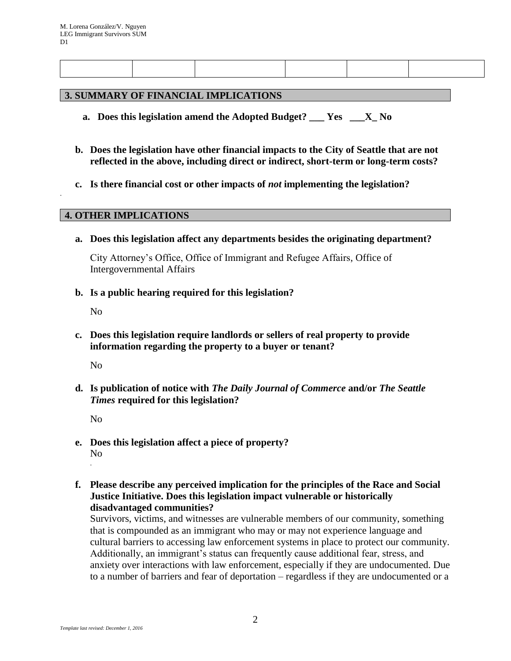#### **3. SUMMARY OF FINANCIAL IMPLICATIONS**

- **a. Does this legislation amend the Adopted Budget? \_\_\_ Yes \_\_\_X\_ No**
- **b. Does the legislation have other financial impacts to the City of Seattle that are not reflected in the above, including direct or indirect, short-term or long-term costs?**
- **c. Is there financial cost or other impacts of** *not* **implementing the legislation?**

#### **4. OTHER IMPLICATIONS**

**a. Does this legislation affect any departments besides the originating department?**

City Attorney's Office, Office of Immigrant and Refugee Affairs, Office of Intergovernmental Affairs

**b. Is a public hearing required for this legislation?**

No

.

**c. Does this legislation require landlords or sellers of real property to provide information regarding the property to a buyer or tenant?**

No

**d. Is publication of notice with** *The Daily Journal of Commerce* **and/or** *The Seattle Times* **required for this legislation?**

No

- **e. Does this legislation affect a piece of property?** No .
- **f. Please describe any perceived implication for the principles of the Race and Social Justice Initiative. Does this legislation impact vulnerable or historically disadvantaged communities?**

Survivors, victims, and witnesses are vulnerable members of our community, something that is compounded as an immigrant who may or may not experience language and cultural barriers to accessing law enforcement systems in place to protect our community. Additionally, an immigrant's status can frequently cause additional fear, stress, and anxiety over interactions with law enforcement, especially if they are undocumented. Due to a number of barriers and fear of deportation – regardless if they are undocumented or a